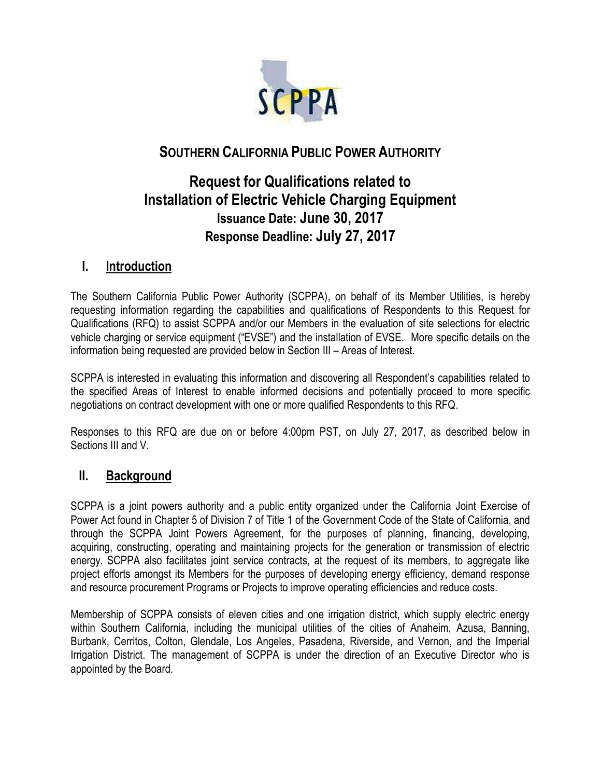

# **SOUTHERN CALIFORNIA PUBLIC POWER AUTHORITY**

# **Request for Qualifications related to Installation of Electric Vehicle Charging Equipment Issuance Date: June 30, 2017 Response Deadline: July 27, 2017**

# **I. Introduction**

The Southern California Public Power Authority (SCPPA), on behalf of its Member Utilities, is hereby requesting information regarding the capabilities and qualifications of Respondents to this Request for Qualifications (RFQ) to assist SCPPA and/or our Members in the evaluation of site selections for electric vehicle charging or service equipment ("EVSE") and the installation of EVSE. More specific details on the information being requested are provided below in Section III – Areas of Interest.

SCPPA is interested in evaluating this information and discovering all Respondent's capabilities related to the specified Areas of Interest to enable informed decisions and potentially proceed to more specific negotiations on contract development with one or more qualified Respondents to this RFQ.

Responses to this RFQ are due on or before 4:00pm PST, on July 27, 2017, as described below in Sections III and V.

### **II. Background**

SCPPA is a joint powers authority and a public entity organized under the California Joint Exercise of Power Act found in Chapter 5 of Division 7 of Title 1 of the Government Code of the State of California, and through the SCPPA Joint Powers Agreement, for the purposes of planning, financing, developing, acquiring, constructing, operating and maintaining projects for the generation or transmission of electric energy. SCPPA also facilitates joint service contracts, at the request of its members, to aggregate like project efforts amongst its Members for the purposes of developing energy efficiency, demand response and resource procurement Programs or Projects to improve operating efficiencies and reduce costs.

Membership of SCPPA consists of eleven cities and one irrigation district, which supply electric energy within Southern California, including the municipal utilities of the cities of Anaheim, Azusa, Banning, Burbank, Cerritos, Colton, Glendale, Los Angeles, Pasadena, Riverside, and Vernon, and the Imperial Irrigation District. The management of SCPPA is under the direction of an Executive Director who is appointed by the Board.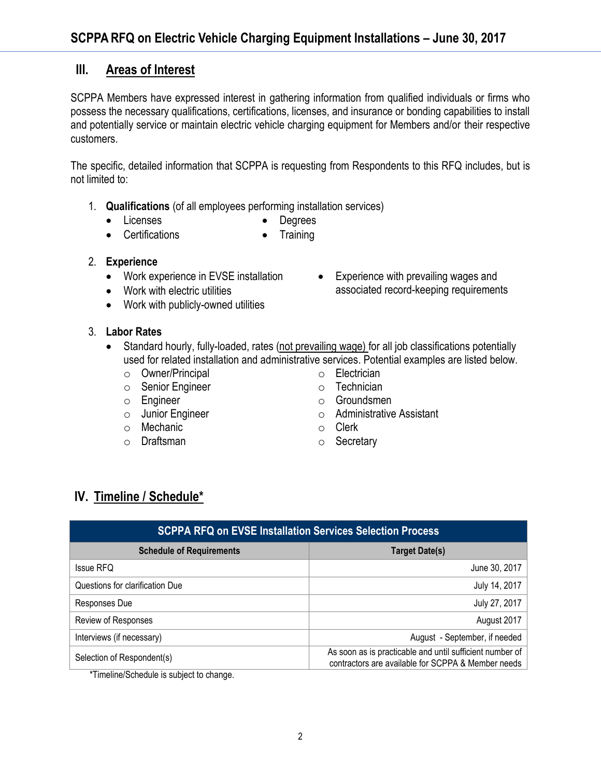# **III. Areas of Interest**

SCPPA Members have expressed interest in gathering information from qualified individuals or firms who possess the necessary qualifications, certifications, licenses, and insurance or bonding capabilities to install and potentially service or maintain electric vehicle charging equipment for Members and/or their respective customers.

The specific, detailed information that SCPPA is requesting from Respondents to this RFQ includes, but is not limited to:

- 1. **Qualifications** (of all employees performing installation services)
	- Licenses
- Degrees
- Certifications • Training
- 2. **Experience**
	- Work experience in EVSE installation
	- Work with electric utilities
	- Work with publicly-owned utilities
- 3. **Labor Rates**
	- Standard hourly, fully-loaded, rates (not prevailing wage) for all job classifications potentially used for related installation and administrative services. Potential examples are listed below.
		- o Owner/Principal
		- o Senior Engineer
		- o Engineer
		- o Junior Engineer
		- o Mechanic
		- o Draftsman
- 
- o Electrician
- o Technician
- o Groundsmen
- o Administrative Assistant

• Experience with prevailing wages and associated record-keeping requirements

- o Clerk
- o Secretary

# **IV. Timeline / Schedule\***

| <b>SCPPA RFQ on EVSE Installation Services Selection Process</b> |                                                                                                                |
|------------------------------------------------------------------|----------------------------------------------------------------------------------------------------------------|
| <b>Schedule of Requirements</b>                                  | <b>Target Date(s)</b>                                                                                          |
| <b>Issue RFQ</b>                                                 | June 30, 2017                                                                                                  |
| Questions for clarification Due                                  | July 14, 2017                                                                                                  |
| Responses Due                                                    | July 27, 2017                                                                                                  |
| Review of Responses                                              | August 2017                                                                                                    |
| Interviews (if necessary)                                        | August - September, if needed                                                                                  |
| Selection of Respondent(s)                                       | As soon as is practicable and until sufficient number of<br>contractors are available for SCPPA & Member needs |

\*Timeline/Schedule is subject to change.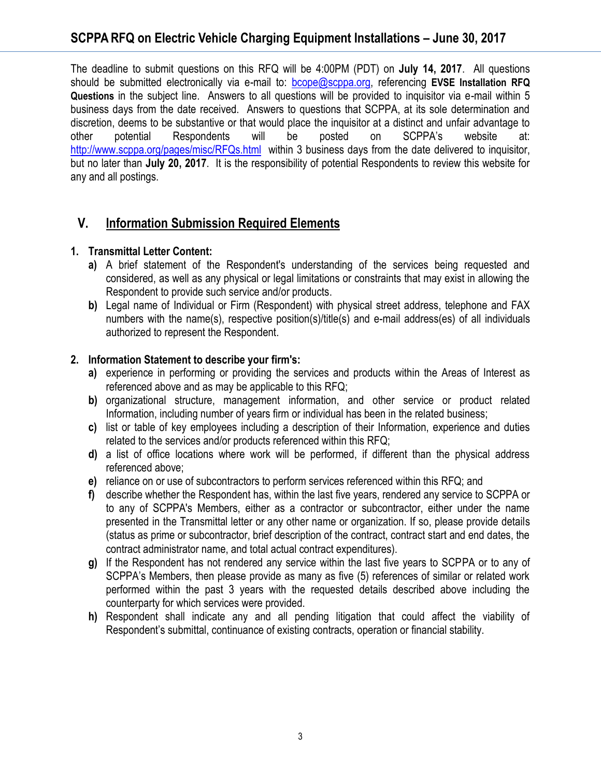The deadline to submit questions on this RFQ will be 4:00PM (PDT) on **July 14, 2017**. All questions should be submitted electronically via e-mail to: [bcope@scppa.org,](file://///app-server/data/RFPs_RFQs_RFIs/Public%20Benefits%20Committee/Paperless%20Rebate%20Automation/RFP/bcope@scppa.org) referencing **EVSE Installation RFQ Questions** in the subject line. Answers to all questions will be provided to inquisitor via e-mail within 5 business days from the date received. Answers to questions that SCPPA, at its sole determination and discretion, deems to be substantive or that would place the inquisitor at a distinct and unfair advantage to other potential Respondents will be posted on SCPPA's website at: [http://www.scppa.org/pages/misc/RFQs.html](http://www.scppa.org/pages/misc/RFPs.html) within 3 business days from the date delivered to inquisitor, but no later than **July 20, 2017**. It is the responsibility of potential Respondents to review this website for any and all postings.

# **V. Information Submission Required Elements**

#### **1. Transmittal Letter Content:**

- **a)** A brief statement of the Respondent's understanding of the services being requested and considered, as well as any physical or legal limitations or constraints that may exist in allowing the Respondent to provide such service and/or products.
- **b)** Legal name of Individual or Firm (Respondent) with physical street address, telephone and FAX numbers with the name(s), respective position(s)/title(s) and e-mail address(es) of all individuals authorized to represent the Respondent.

#### **2. Information Statement to describe your firm's:**

- **a)** experience in performing or providing the services and products within the Areas of Interest as referenced above and as may be applicable to this RFQ;
- **b)** organizational structure, management information, and other service or product related Information, including number of years firm or individual has been in the related business;
- **c)** list or table of key employees including a description of their Information, experience and duties related to the services and/or products referenced within this RFQ;
- **d)** a list of office locations where work will be performed, if different than the physical address referenced above;
- **e)** reliance on or use of subcontractors to perform services referenced within this RFQ; and
- **f)** describe whether the Respondent has, within the last five years, rendered any service to SCPPA or to any of SCPPA's Members, either as a contractor or subcontractor, either under the name presented in the Transmittal letter or any other name or organization. If so, please provide details (status as prime or subcontractor, brief description of the contract, contract start and end dates, the contract administrator name, and total actual contract expenditures).
- **g)** If the Respondent has not rendered any service within the last five years to SCPPA or to any of SCPPA's Members, then please provide as many as five (5) references of similar or related work performed within the past 3 years with the requested details described above including the counterparty for which services were provided.
- **h)** Respondent shall indicate any and all pending litigation that could affect the viability of Respondent's submittal, continuance of existing contracts, operation or financial stability.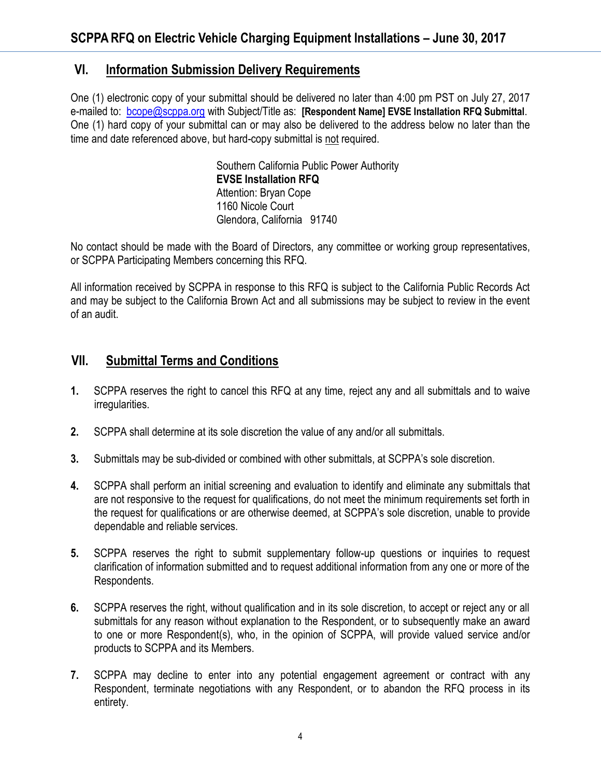## **VI. Information Submission Delivery Requirements**

One (1) electronic copy of your submittal should be delivered no later than 4:00 pm PST on July 27, 2017 e-mailed to: [bcope@scppa.org](mailto:bcope@scppa.org) with Subject/Title as: **[Respondent Name] EVSE Installation RFQ Submittal**. One (1) hard copy of your submittal can or may also be delivered to the address below no later than the time and date referenced above, but hard-copy submittal is not required.

> Southern California Public Power Authority **EVSE Installation RFQ** Attention: Bryan Cope 1160 Nicole Court Glendora, California 91740

No contact should be made with the Board of Directors, any committee or working group representatives, or SCPPA Participating Members concerning this RFQ.

All information received by SCPPA in response to this RFQ is subject to the California Public Records Act and may be subject to the California Brown Act and all submissions may be subject to review in the event of an audit.

# **VII. Submittal Terms and Conditions**

- **1.** SCPPA reserves the right to cancel this RFQ at any time, reject any and all submittals and to waive irregularities.
- **2.** SCPPA shall determine at its sole discretion the value of any and/or all submittals.
- **3.** Submittals may be sub-divided or combined with other submittals, at SCPPA's sole discretion.
- **4.** SCPPA shall perform an initial screening and evaluation to identify and eliminate any submittals that are not responsive to the request for qualifications, do not meet the minimum requirements set forth in the request for qualifications or are otherwise deemed, at SCPPA's sole discretion, unable to provide dependable and reliable services.
- **5.** SCPPA reserves the right to submit supplementary follow-up questions or inquiries to request clarification of information submitted and to request additional information from any one or more of the Respondents.
- **6.** SCPPA reserves the right, without qualification and in its sole discretion, to accept or reject any or all submittals for any reason without explanation to the Respondent, or to subsequently make an award to one or more Respondent(s), who, in the opinion of SCPPA, will provide valued service and/or products to SCPPA and its Members.
- **7.** SCPPA may decline to enter into any potential engagement agreement or contract with any Respondent, terminate negotiations with any Respondent, or to abandon the RFQ process in its entirety.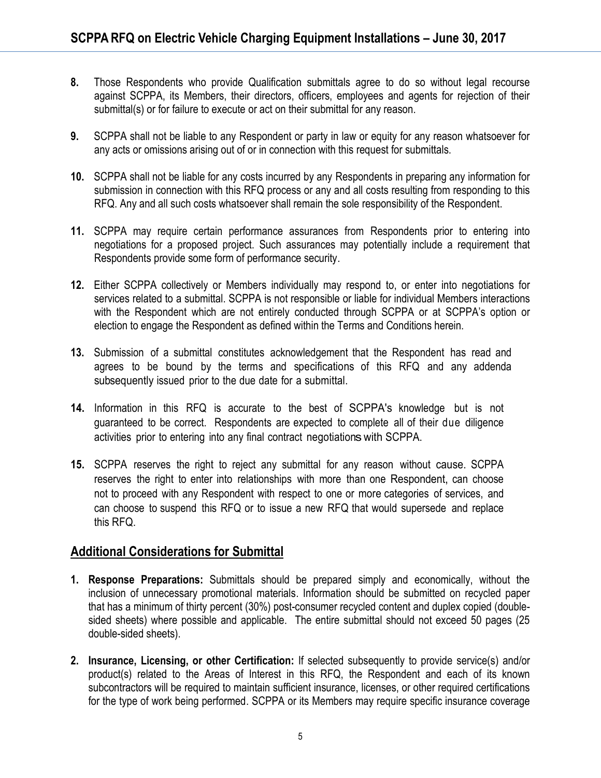- **8.** Those Respondents who provide Qualification submittals agree to do so without legal recourse against SCPPA, its Members, their directors, officers, employees and agents for rejection of their submittal(s) or for failure to execute or act on their submittal for any reason.
- **9.** SCPPA shall not be liable to any Respondent or party in law or equity for any reason whatsoever for any acts or omissions arising out of or in connection with this request for submittals.
- **10.** SCPPA shall not be liable for any costs incurred by any Respondents in preparing any information for submission in connection with this RFQ process or any and all costs resulting from responding to this RFQ. Any and all such costs whatsoever shall remain the sole responsibility of the Respondent.
- **11.** SCPPA may require certain performance assurances from Respondents prior to entering into negotiations for a proposed project. Such assurances may potentially include a requirement that Respondents provide some form of performance security.
- **12.** Either SCPPA collectively or Members individually may respond to, or enter into negotiations for services related to a submittal. SCPPA is not responsible or liable for individual Members interactions with the Respondent which are not entirely conducted through SCPPA or at SCPPA's option or election to engage the Respondent as defined within the Terms and Conditions herein.
- **13.** Submission of a submittal constitutes acknowledgement that the Respondent has read and agrees to be bound by the terms and specifications of this RFQ and any addenda subsequently issued prior to the due date for a submittal.
- **14.** Information in this RFQ is accurate to the best of SCPPA's knowledge but is not guaranteed to be correct. Respondents are expected to complete all of their due diligence activities prior to entering into any final contract negotiations with SCPPA.
- **15.** SCPPA reserves the right to reject any submittal for any reason without cause. SCPPA reserves the right to enter into relationships with more than one Respondent, can choose not to proceed with any Respondent with respect to one or more categories of services, and can choose to suspend this RFQ or to issue a new RFQ that would supersede and replace this RFQ.

### **Additional Considerations for Submittal**

- **1. Response Preparations:** Submittals should be prepared simply and economically, without the inclusion of unnecessary promotional materials. Information should be submitted on recycled paper that has a minimum of thirty percent (30%) post-consumer recycled content and duplex copied (doublesided sheets) where possible and applicable. The entire submittal should not exceed 50 pages (25 double-sided sheets).
- **2. Insurance, Licensing, or other Certification:** If selected subsequently to provide service(s) and/or product(s) related to the Areas of Interest in this RFQ, the Respondent and each of its known subcontractors will be required to maintain sufficient insurance, licenses, or other required certifications for the type of work being performed. SCPPA or its Members may require specific insurance coverage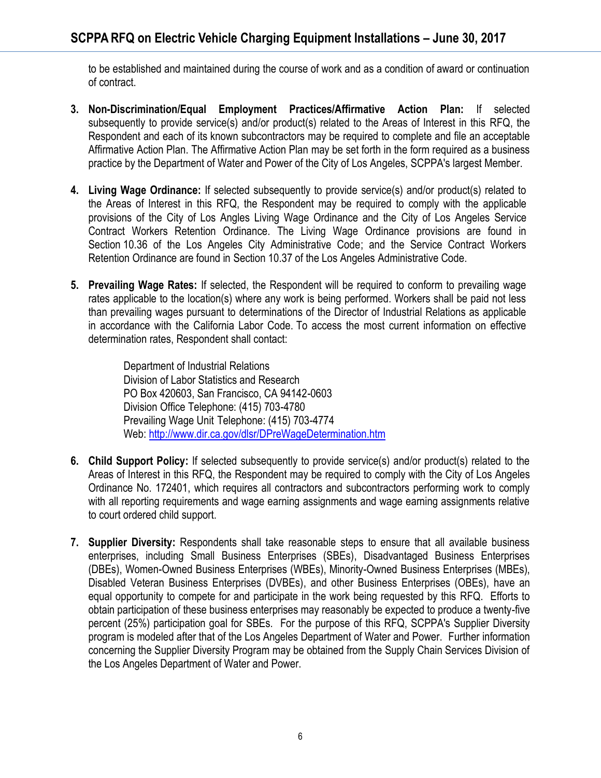to be established and maintained during the course of work and as a condition of award or continuation of contract.

- **3. Non-Discrimination/Equal Employment Practices/Affirmative Action Plan:** If selected subsequently to provide service(s) and/or product(s) related to the Areas of Interest in this RFQ, the Respondent and each of its known subcontractors may be required to complete and file an acceptable Affirmative Action Plan. The Affirmative Action Plan may be set forth in the form required as a business practice by the Department of Water and Power of the City of Los Angeles, SCPPA's largest Member.
- **4. Living Wage Ordinance:** If selected subsequently to provide service(s) and/or product(s) related to the Areas of Interest in this RFQ, the Respondent may be required to comply with the applicable provisions of the City of Los Angles Living Wage Ordinance and the City of Los Angeles Service Contract Workers Retention Ordinance. The Living Wage Ordinance provisions are found in Section 10.36 of the Los Angeles City Administrative Code; and the Service Contract Workers Retention Ordinance are found in Section 10.37 of the Los Angeles Administrative Code.
- **5. Prevailing Wage Rates:** If selected, the Respondent will be required to conform to prevailing wage rates applicable to the location(s) where any work is being performed. Workers shall be paid not less than prevailing wages pursuant to determinations of the Director of Industrial Relations as applicable in accordance with the California Labor Code. To access the most current information on effective determination rates, Respondent shall contact:

Department of Industrial Relations Division of Labor Statistics and Research PO Box 420603, San Francisco, CA 94142-0603 Division Office Telephone: (415) 703-4780 Prevailing Wage Unit Telephone: (415) 703-4774 Web[: http://www.dir.ca.gov/dlsr/DPreWageDetermination.htm](http://www.dir.ca.gov/dlsr/DPreWageDetermination.htm)

- **6. Child Support Policy:** If selected subsequently to provide service(s) and/or product(s) related to the Areas of Interest in this RFQ, the Respondent may be required to comply with the City of Los Angeles Ordinance No. 172401, which requires all contractors and subcontractors performing work to comply with all reporting requirements and wage earning assignments and wage earning assignments relative to court ordered child support.
- **7. Supplier Diversity:** Respondents shall take reasonable steps to ensure that all available business enterprises, including Small Business Enterprises (SBEs), Disadvantaged Business Enterprises (DBEs), Women-Owned Business Enterprises (WBEs), Minority-Owned Business Enterprises (MBEs), Disabled Veteran Business Enterprises (DVBEs), and other Business Enterprises (OBEs), have an equal opportunity to compete for and participate in the work being requested by this RFQ. Efforts to obtain participation of these business enterprises may reasonably be expected to produce a twenty-five percent (25%) participation goal for SBEs. For the purpose of this RFQ, SCPPA's Supplier Diversity program is modeled after that of the Los Angeles Department of Water and Power. Further information concerning the Supplier Diversity Program may be obtained from the Supply Chain Services Division of the Los Angeles Department of Water and Power.